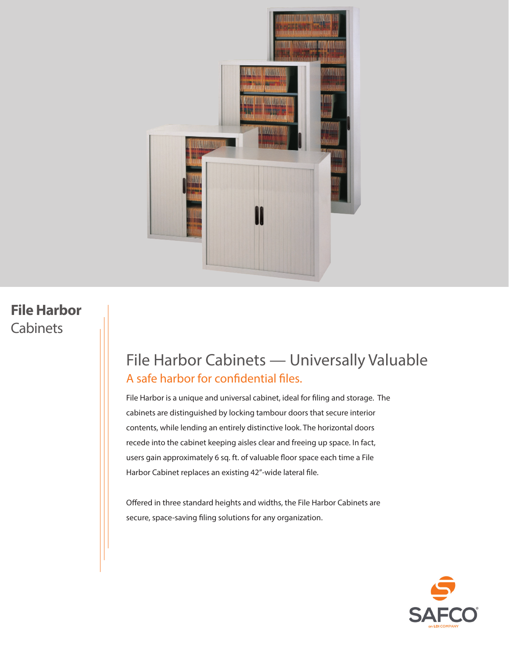

### **File Harbor**  Cabinets

## File Harbor Cabinets — Universally Valuable A safe harbor for confidential files.

File Harbor is a unique and universal cabinet, ideal for filing and storage. The cabinets are distinguished by locking tambour doors that secure interior contents, while lending an entirely distinctive look. The horizontal doors recede into the cabinet keeping aisles clear and freeing up space. In fact, users gain approximately 6 sq. ft. of valuable floor space each time a File Harbor Cabinet replaces an existing 42"-wide lateral file.

Offered in three standard heights and widths, the File Harbor Cabinets are secure, space-saving filing solutions for any organization.